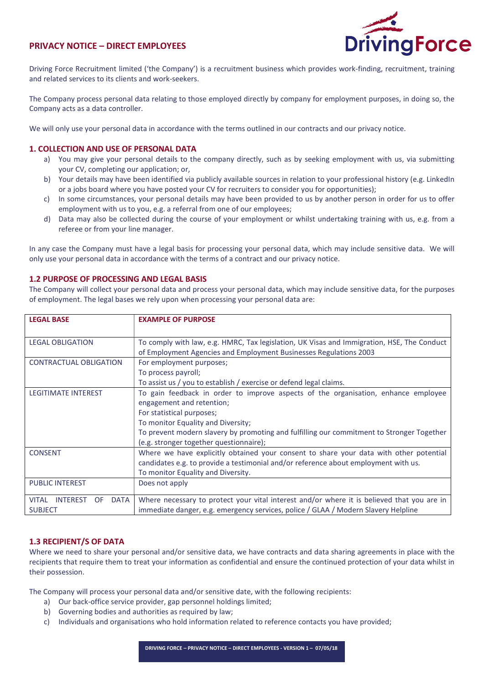# PRIVACY NOTICE – DIRECT EMPLOYEES



Driving Force Recruitment limited ('the Company') is a recruitment business which provides work-finding, recruitment, training and related services to its clients and work-seekers.

The Company process personal data relating to those employed directly by company for employment purposes, in doing so, the Company acts as a data controller.

We will only use your personal data in accordance with the terms outlined in our contracts and our privacy notice.

# 1. COLLECTION AND USE OF PERSONAL DATA

- a) You may give your personal details to the company directly, such as by seeking employment with us, via submitting your CV, completing our application; or,
- b) Your details may have been identified via publicly available sources in relation to your professional history (e.g. LinkedIn or a jobs board where you have posted your CV for recruiters to consider you for opportunities);
- c) In some circumstances, your personal details may have been provided to us by another person in order for us to offer employment with us to you, e.g. a referral from one of our employees;
- d) Data may also be collected during the course of your employment or whilst undertaking training with us, e.g. from a referee or from your line manager.

In any case the Company must have a legal basis for processing your personal data, which may include sensitive data. We will only use your personal data in accordance with the terms of a contract and our privacy notice.

# 1.2 PURPOSE OF PROCESSING AND LEGAL BASIS

The Company will collect your personal data and process your personal data, which may include sensitive data, for the purposes of employment. The legal bases we rely upon when processing your personal data are:

| <b>LEGAL BASE</b>                                    | <b>EXAMPLE OF PURPOSE</b>                                                                  |
|------------------------------------------------------|--------------------------------------------------------------------------------------------|
|                                                      |                                                                                            |
| <b>LEGAL OBLIGATION</b>                              | To comply with law, e.g. HMRC, Tax legislation, UK Visas and Immigration, HSE, The Conduct |
|                                                      | of Employment Agencies and Employment Businesses Regulations 2003                          |
| <b>CONTRACTUAL OBLIGATION</b>                        | For employment purposes;                                                                   |
|                                                      | To process payroll;                                                                        |
|                                                      | To assist us / you to establish / exercise or defend legal claims.                         |
| <b>LEGITIMATE INTEREST</b>                           | To gain feedback in order to improve aspects of the organisation, enhance employee         |
|                                                      | engagement and retention;                                                                  |
|                                                      | For statistical purposes;                                                                  |
|                                                      | To monitor Equality and Diversity;                                                         |
|                                                      | To prevent modern slavery by promoting and fulfilling our commitment to Stronger Together  |
|                                                      | (e.g. stronger together questionnaire);                                                    |
| <b>CONSENT</b>                                       | Where we have explicitly obtained your consent to share your data with other potential     |
|                                                      | candidates e.g. to provide a testimonial and/or reference about employment with us.        |
|                                                      | To monitor Equality and Diversity.                                                         |
| <b>PUBLIC INTEREST</b>                               | Does not apply                                                                             |
|                                                      |                                                                                            |
| <b>VITAL</b><br><b>INTEREST</b><br>DATA<br><b>OF</b> | Where necessary to protect your vital interest and/or where it is believed that you are in |
| <b>SUBJECT</b>                                       | immediate danger, e.g. emergency services, police / GLAA / Modern Slavery Helpline         |

# 1.3 RECIPIENT/S OF DATA

Where we need to share your personal and/or sensitive data, we have contracts and data sharing agreements in place with the recipients that require them to treat your information as confidential and ensure the continued protection of your data whilst in their possession.

The Company will process your personal data and/or sensitive date, with the following recipients:

- a) Our back-office service provider, gap personnel holdings limited;
- b) Governing bodies and authorities as required by law;
- c) Individuals and organisations who hold information related to reference contacts you have provided;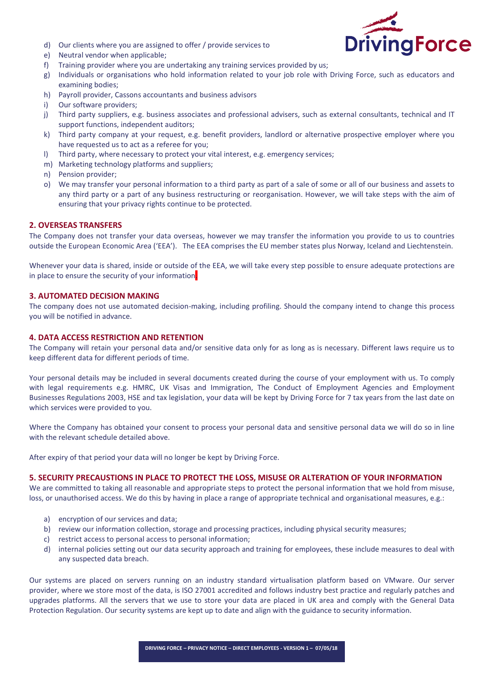

- d) Our clients where you are assigned to offer / provide services to
- e) Neutral vendor when applicable;
- f) Training provider where you are undertaking any training services provided by us;
- g) Individuals or organisations who hold information related to your job role with Driving Force, such as educators and examining bodies;
- h) Payroll provider, Cassons accountants and business advisors
- i) Our software providers;
- j) Third party suppliers, e.g. business associates and professional advisers, such as external consultants, technical and IT support functions, independent auditors;
- k) Third party company at your request, e.g. benefit providers, landlord or alternative prospective employer where you have requested us to act as a referee for you;
- l) Third party, where necessary to protect your vital interest, e.g. emergency services;
- m) Marketing technology platforms and suppliers;
- n) Pension provider;
- o) We may transfer your personal information to a third party as part of a sale of some or all of our business and assets to any third party or a part of any business restructuring or reorganisation. However, we will take steps with the aim of ensuring that your privacy rights continue to be protected.

# 2. OVERSEAS TRANSFERS

The Company does not transfer your data overseas, however we may transfer the information you provide to us to countries outside the European Economic Area ('EEA'). The EEA comprises the EU member states plus Norway, Iceland and Liechtenstein.

Whenever your data is shared, inside or outside of the EEA, we will take every step possible to ensure adequate protections are in place to ensure the security of your information

## 3. AUTOMATED DECISION MAKING

The company does not use automated decision-making, including profiling. Should the company intend to change this process you will be notified in advance.

# 4. DATA ACCESS RESTRICTION AND RETENTION

The Company will retain your personal data and/or sensitive data only for as long as is necessary. Different laws require us to keep different data for different periods of time.

Your personal details may be included in several documents created during the course of your employment with us. To comply with legal requirements e.g. HMRC, UK Visas and Immigration, The Conduct of Employment Agencies and Employment Businesses Regulations 2003, HSE and tax legislation, your data will be kept by Driving Force for 7 tax years from the last date on which services were provided to you.

Where the Company has obtained your consent to process your personal data and sensitive personal data we will do so in line with the relevant schedule detailed above.

After expiry of that period your data will no longer be kept by Driving Force.

## 5. SECURITY PRECAUSTIONS IN PLACE TO PROTECT THE LOSS, MISUSE OR ALTERATION OF YOUR INFORMATION

We are committed to taking all reasonable and appropriate steps to protect the personal information that we hold from misuse, loss, or unauthorised access. We do this by having in place a range of appropriate technical and organisational measures, e.g.:

- a) encryption of our services and data;
- b) review our information collection, storage and processing practices, including physical security measures;
- c) restrict access to personal access to personal information;
- d) internal policies setting out our data security approach and training for employees, these include measures to deal with any suspected data breach.

Our systems are placed on servers running on an industry standard virtualisation platform based on VMware. Our server provider, where we store most of the data, is ISO 27001 accredited and follows industry best practice and regularly patches and upgrades platforms. All the servers that we use to store your data are placed in UK area and comply with the General Data Protection Regulation. Our security systems are kept up to date and align with the guidance to security information.